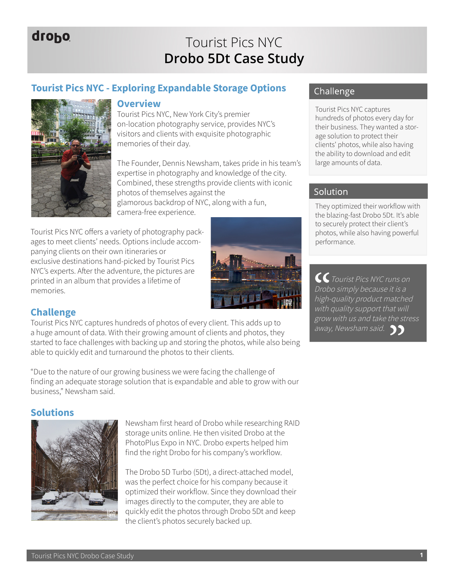# drobo

# Tourist Pics NYC **Drobo 5Dt Case Study**

# **Tourist Pics NYC - Exploring Expandable Storage Options**



#### **Overview**

Tourist Pics NYC, New York City's premier on-location photography service, provides NYC's visitors and clients with exquisite photographic memories of their day.

The Founder, Dennis Newsham, takes pride in his team's expertise in photography and knowledge of the city. Combined, these strengths provide clients with iconic photos of themselves against the glamorous backdrop of NYC, along with a fun, camera-free experience.

Tourist Pics NYC offers a variety of photography packages to meet clients' needs. Options include accompanying clients on their own itineraries or exclusive destinations hand-picked by Tourist Pics NYC's experts. After the adventure, the pictures are printed in an album that provides a lifetime of memories.



## **Challenge**

Tourist Pics NYC captures hundreds of photos of every client. This adds up to a huge amount of data. With their growing amount of clients and photos, they started to face challenges with backing up and storing the photos, while also being able to quickly edit and turnaround the photos to their clients.

"Due to the nature of our growing business we were facing the challenge of finding an adequate storage solution that is expandable and able to grow with our business," Newsham said.

### **Solutions**



Newsham first heard of Drobo while researching RAID storage units online. He then visited Drobo at the PhotoPlus Expo in NYC. Drobo experts helped him find the right Drobo for his company's workflow.

The Drobo 5D Turbo (5Dt), a direct-attached model, was the perfect choice for his company because it optimized their workflow. Since they download their images directly to the computer, they are able to quickly edit the photos through Drobo 5Dt and keep the client's photos securely backed up.

### Challenge

Tourist Pics NYC captures hundreds of photos every day for their business. They wanted a storage solution to protect their clients' photos, while also having the ability to download and edit large amounts of data.

#### Solution

They optimized their workflow with the blazing-fast Drobo 5Dt. It's able to securely protect their client's photos, while also having powerful performance.

CC Tourist Pics NYC runs on Drobo simply because it is a high-quality product matched with quality support that will grow with us and take the stress away, Newsham said. **11**